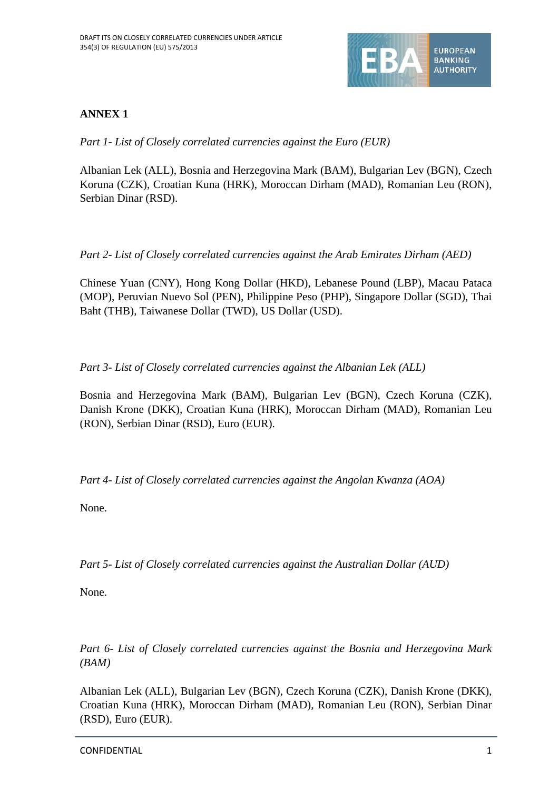

## **ANNEX 1**

*Part 1- List of Closely correlated currencies against the Euro (EUR)*

Albanian Lek (ALL), Bosnia and Herzegovina Mark (BAM), Bulgarian Lev (BGN), Czech Koruna (CZK), Croatian Kuna (HRK), Moroccan Dirham (MAD), Romanian Leu (RON), Serbian Dinar (RSD).

*Part 2- List of Closely correlated currencies against the Arab Emirates Dirham (AED)*

Chinese Yuan (CNY), Hong Kong Dollar (HKD), Lebanese Pound (LBP), Macau Pataca (MOP), Peruvian Nuevo Sol (PEN), Philippine Peso (PHP), Singapore Dollar (SGD), Thai Baht (THB), Taiwanese Dollar (TWD), US Dollar (USD).

*Part 3- List of Closely correlated currencies against the Albanian Lek (ALL)*

Bosnia and Herzegovina Mark (BAM), Bulgarian Lev (BGN), Czech Koruna (CZK), Danish Krone (DKK), Croatian Kuna (HRK), Moroccan Dirham (MAD), Romanian Leu (RON), Serbian Dinar (RSD), Euro (EUR).

*Part 4- List of Closely correlated currencies against the Angolan Kwanza (AOA)*

None.

*Part 5- List of Closely correlated currencies against the Australian Dollar (AUD)*

None.

*Part 6- List of Closely correlated currencies against the Bosnia and Herzegovina Mark (BAM)*

Albanian Lek (ALL), Bulgarian Lev (BGN), Czech Koruna (CZK), Danish Krone (DKK), Croatian Kuna (HRK), Moroccan Dirham (MAD), Romanian Leu (RON), Serbian Dinar (RSD), Euro (EUR).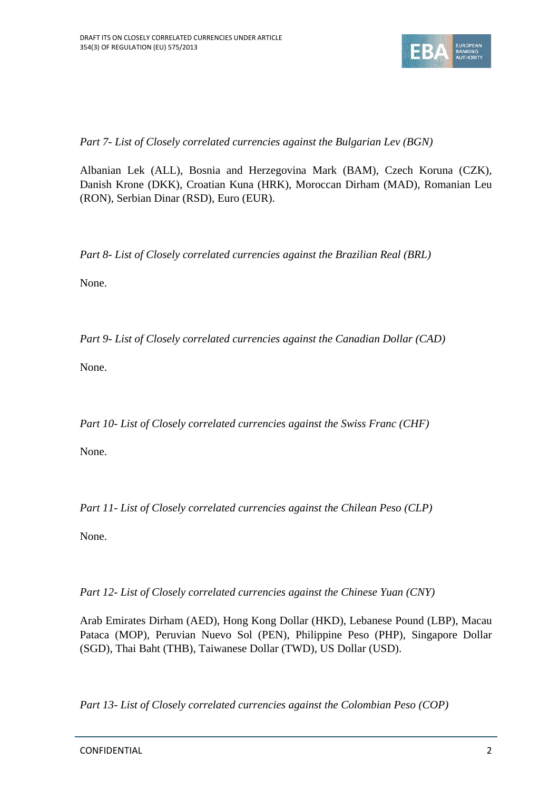

*Part 7- List of Closely correlated currencies against the Bulgarian Lev (BGN)*

Albanian Lek (ALL), Bosnia and Herzegovina Mark (BAM), Czech Koruna (CZK), Danish Krone (DKK), Croatian Kuna (HRK), Moroccan Dirham (MAD), Romanian Leu (RON), Serbian Dinar (RSD), Euro (EUR).

*Part 8- List of Closely correlated currencies against the Brazilian Real (BRL)*

None.

*Part 9- List of Closely correlated currencies against the Canadian Dollar (CAD)*

None.

*Part 10- List of Closely correlated currencies against the Swiss Franc (CHF)*

None.

*Part 11- List of Closely correlated currencies against the Chilean Peso (CLP)*

None.

*Part 12- List of Closely correlated currencies against the Chinese Yuan (CNY)*

Arab Emirates Dirham (AED), Hong Kong Dollar (HKD), Lebanese Pound (LBP), Macau Pataca (MOP), Peruvian Nuevo Sol (PEN), Philippine Peso (PHP), Singapore Dollar (SGD), Thai Baht (THB), Taiwanese Dollar (TWD), US Dollar (USD).

*Part 13- List of Closely correlated currencies against the Colombian Peso (COP)*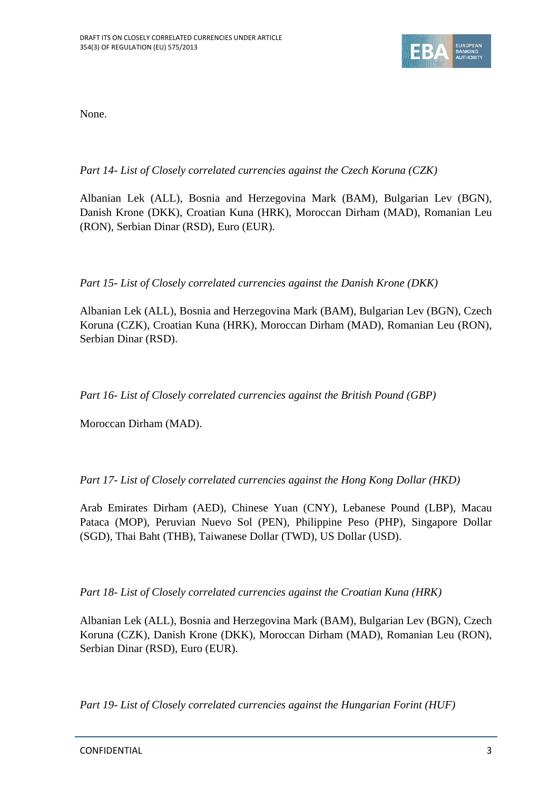

None.

## *Part 14- List of Closely correlated currencies against the Czech Koruna (CZK)*

Albanian Lek (ALL), Bosnia and Herzegovina Mark (BAM), Bulgarian Lev (BGN), Danish Krone (DKK), Croatian Kuna (HRK), Moroccan Dirham (MAD), Romanian Leu (RON), Serbian Dinar (RSD), Euro (EUR).

*Part 15- List of Closely correlated currencies against the Danish Krone (DKK)*

Albanian Lek (ALL), Bosnia and Herzegovina Mark (BAM), Bulgarian Lev (BGN), Czech Koruna (CZK), Croatian Kuna (HRK), Moroccan Dirham (MAD), Romanian Leu (RON), Serbian Dinar (RSD).

*Part 16- List of Closely correlated currencies against the British Pound (GBP)*

Moroccan Dirham (MAD).

*Part 17- List of Closely correlated currencies against the Hong Kong Dollar (HKD)*

Arab Emirates Dirham (AED), Chinese Yuan (CNY), Lebanese Pound (LBP), Macau Pataca (MOP), Peruvian Nuevo Sol (PEN), Philippine Peso (PHP), Singapore Dollar (SGD), Thai Baht (THB), Taiwanese Dollar (TWD), US Dollar (USD).

*Part 18- List of Closely correlated currencies against the Croatian Kuna (HRK)*

Albanian Lek (ALL), Bosnia and Herzegovina Mark (BAM), Bulgarian Lev (BGN), Czech Koruna (CZK), Danish Krone (DKK), Moroccan Dirham (MAD), Romanian Leu (RON), Serbian Dinar (RSD), Euro (EUR).

*Part 19- List of Closely correlated currencies against the Hungarian Forint (HUF)*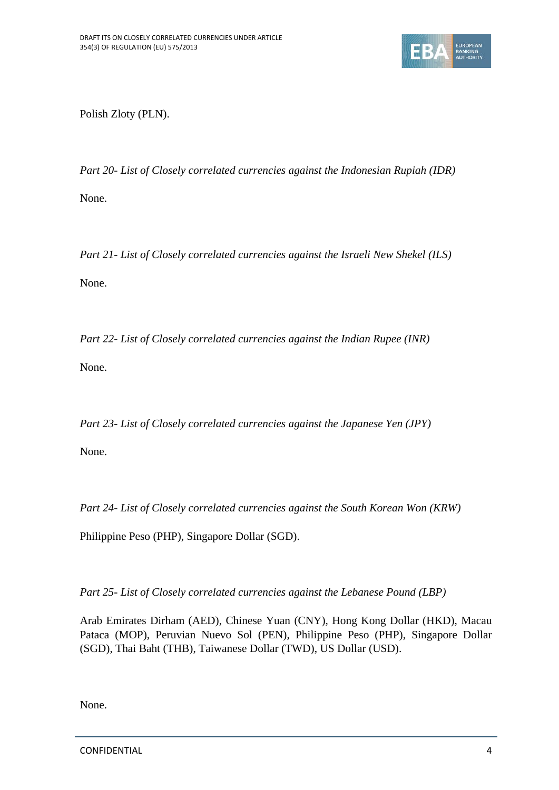

Polish Zloty (PLN).

*Part 20- List of Closely correlated currencies against the Indonesian Rupiah (IDR)* None.

*Part 21- List of Closely correlated currencies against the Israeli New Shekel (ILS)* None.

*Part 22- List of Closely correlated currencies against the Indian Rupee (INR)* None.

*Part 23- List of Closely correlated currencies against the Japanese Yen (JPY)*

None.

*Part 24- List of Closely correlated currencies against the South Korean Won (KRW)*

Philippine Peso (PHP), Singapore Dollar (SGD).

*Part 25- List of Closely correlated currencies against the Lebanese Pound (LBP)*

Arab Emirates Dirham (AED), Chinese Yuan (CNY), Hong Kong Dollar (HKD), Macau Pataca (MOP), Peruvian Nuevo Sol (PEN), Philippine Peso (PHP), Singapore Dollar (SGD), Thai Baht (THB), Taiwanese Dollar (TWD), US Dollar (USD).

None.

CONFIDENTIAL 4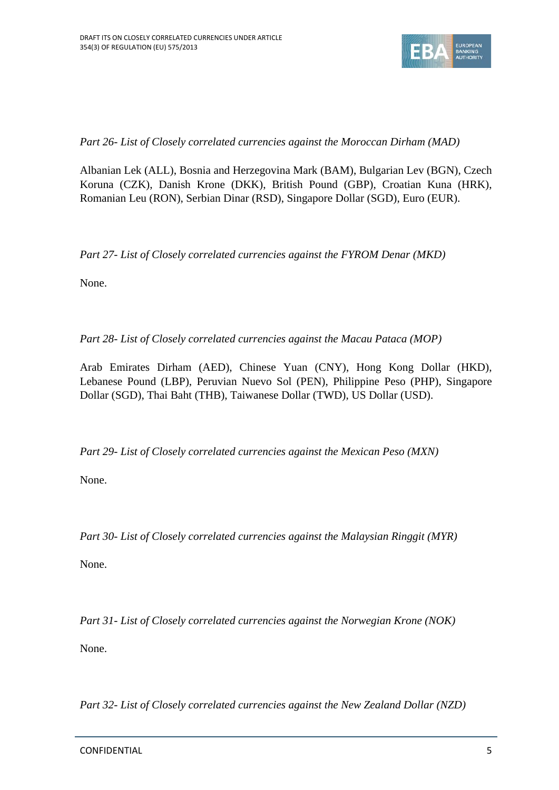

*Part 26- List of Closely correlated currencies against the Moroccan Dirham (MAD)*

Albanian Lek (ALL), Bosnia and Herzegovina Mark (BAM), Bulgarian Lev (BGN), Czech Koruna (CZK), Danish Krone (DKK), British Pound (GBP), Croatian Kuna (HRK), Romanian Leu (RON), Serbian Dinar (RSD), Singapore Dollar (SGD), Euro (EUR).

*Part 27- List of Closely correlated currencies against the FYROM Denar (MKD)*

None.

*Part 28- List of Closely correlated currencies against the Macau Pataca (MOP)*

Arab Emirates Dirham (AED), Chinese Yuan (CNY), Hong Kong Dollar (HKD), Lebanese Pound (LBP), Peruvian Nuevo Sol (PEN), Philippine Peso (PHP), Singapore Dollar (SGD), Thai Baht (THB), Taiwanese Dollar (TWD), US Dollar (USD).

*Part 29- List of Closely correlated currencies against the Mexican Peso (MXN)*

None.

*Part 30- List of Closely correlated currencies against the Malaysian Ringgit (MYR)*

None.

*Part 31- List of Closely correlated currencies against the Norwegian Krone (NOK)*

None.

*Part 32- List of Closely correlated currencies against the New Zealand Dollar (NZD)*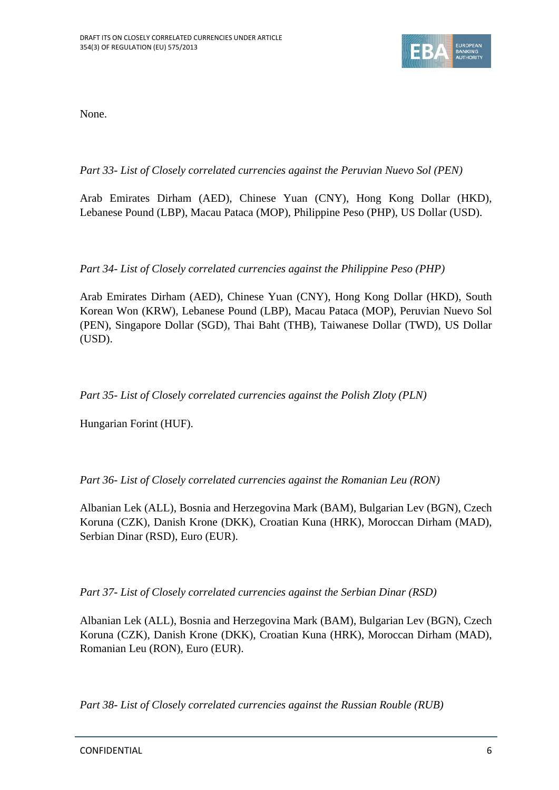

None.

*Part 33- List of Closely correlated currencies against the Peruvian Nuevo Sol (PEN)*

Arab Emirates Dirham (AED), Chinese Yuan (CNY), Hong Kong Dollar (HKD), Lebanese Pound (LBP), Macau Pataca (MOP), Philippine Peso (PHP), US Dollar (USD).

*Part 34- List of Closely correlated currencies against the Philippine Peso (PHP)*

Arab Emirates Dirham (AED), Chinese Yuan (CNY), Hong Kong Dollar (HKD), South Korean Won (KRW), Lebanese Pound (LBP), Macau Pataca (MOP), Peruvian Nuevo Sol (PEN), Singapore Dollar (SGD), Thai Baht (THB), Taiwanese Dollar (TWD), US Dollar (USD).

*Part 35- List of Closely correlated currencies against the Polish Zloty (PLN)*

Hungarian Forint (HUF).

*Part 36- List of Closely correlated currencies against the Romanian Leu (RON)*

Albanian Lek (ALL), Bosnia and Herzegovina Mark (BAM), Bulgarian Lev (BGN), Czech Koruna (CZK), Danish Krone (DKK), Croatian Kuna (HRK), Moroccan Dirham (MAD), Serbian Dinar (RSD), Euro (EUR).

*Part 37- List of Closely correlated currencies against the Serbian Dinar (RSD)*

Albanian Lek (ALL), Bosnia and Herzegovina Mark (BAM), Bulgarian Lev (BGN), Czech Koruna (CZK), Danish Krone (DKK), Croatian Kuna (HRK), Moroccan Dirham (MAD), Romanian Leu (RON), Euro (EUR).

*Part 38- List of Closely correlated currencies against the Russian Rouble (RUB)*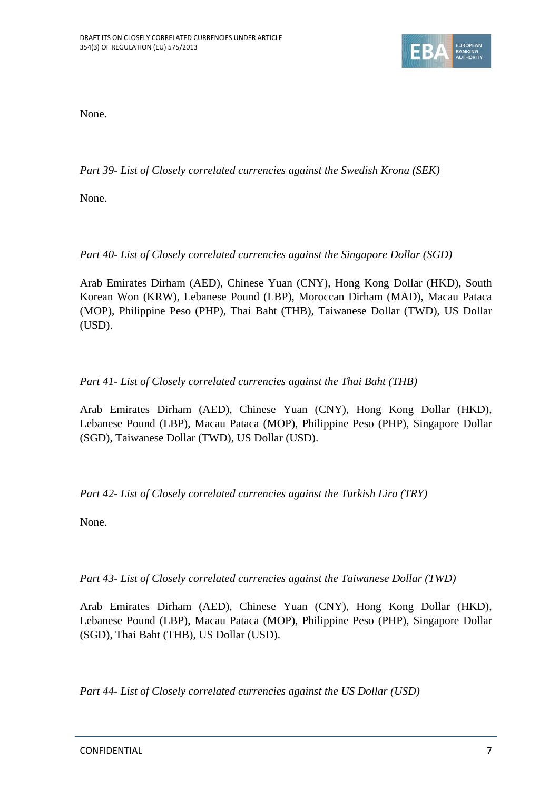

None.

*Part 39- List of Closely correlated currencies against the Swedish Krona (SEK)*

None.

*Part 40- List of Closely correlated currencies against the Singapore Dollar (SGD)*

Arab Emirates Dirham (AED), Chinese Yuan (CNY), Hong Kong Dollar (HKD), South Korean Won (KRW), Lebanese Pound (LBP), Moroccan Dirham (MAD), Macau Pataca (MOP), Philippine Peso (PHP), Thai Baht (THB), Taiwanese Dollar (TWD), US Dollar (USD).

*Part 41- List of Closely correlated currencies against the Thai Baht (THB)*

Arab Emirates Dirham (AED), Chinese Yuan (CNY), Hong Kong Dollar (HKD), Lebanese Pound (LBP), Macau Pataca (MOP), Philippine Peso (PHP), Singapore Dollar (SGD), Taiwanese Dollar (TWD), US Dollar (USD).

*Part 42- List of Closely correlated currencies against the Turkish Lira (TRY)*

None.

*Part 43- List of Closely correlated currencies against the Taiwanese Dollar (TWD)*

Arab Emirates Dirham (AED), Chinese Yuan (CNY), Hong Kong Dollar (HKD), Lebanese Pound (LBP), Macau Pataca (MOP), Philippine Peso (PHP), Singapore Dollar (SGD), Thai Baht (THB), US Dollar (USD).

*Part 44- List of Closely correlated currencies against the US Dollar (USD)*